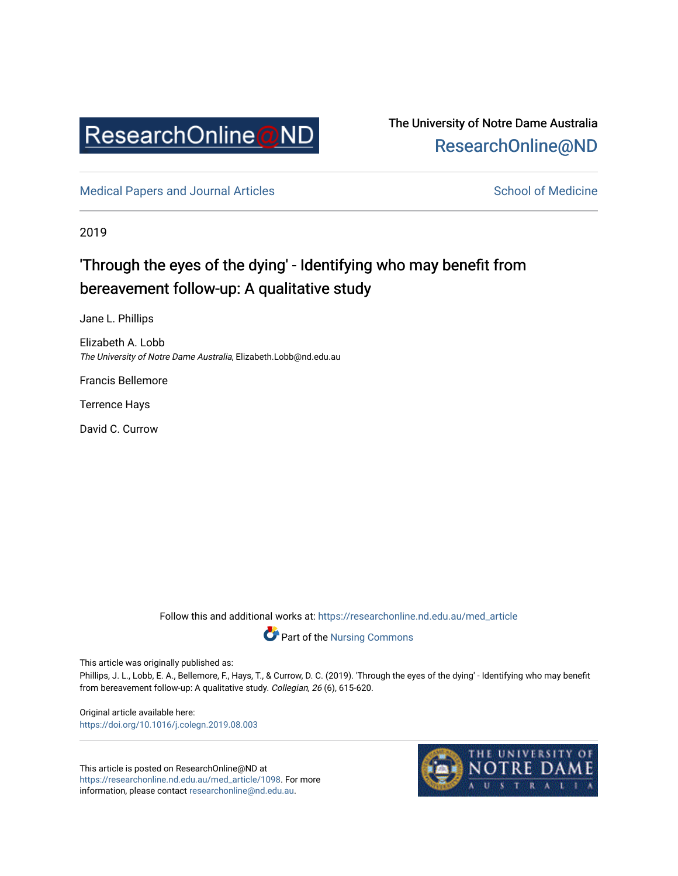

The University of Notre Dame Australia [ResearchOnline@ND](https://researchonline.nd.edu.au/) 

[Medical Papers and Journal Articles](https://researchonline.nd.edu.au/med_article) and School of Medicine

2019

## 'Through the eyes of the dying' - Identifying who may benefit from bereavement follow-up: A qualitative study

Jane L. Phillips

Elizabeth A. Lobb The University of Notre Dame Australia, Elizabeth.Lobb@nd.edu.au

Francis Bellemore

Terrence Hays

David C. Currow

Follow this and additional works at: [https://researchonline.nd.edu.au/med\\_article](https://researchonline.nd.edu.au/med_article?utm_source=researchonline.nd.edu.au%2Fmed_article%2F1098&utm_medium=PDF&utm_campaign=PDFCoverPages) 



This article was originally published as:

Phillips, J. L., Lobb, E. A., Bellemore, F., Hays, T., & Currow, D. C. (2019). 'Through the eyes of the dying' - Identifying who may benefit from bereavement follow-up: A qualitative study. Collegian, 26 (6), 615-620.

Original article available here: <https://doi.org/10.1016/j.colegn.2019.08.003>

This article is posted on ResearchOnline@ND at [https://researchonline.nd.edu.au/med\\_article/1098.](https://researchonline.nd.edu.au/med_article/1098) For more information, please contact [researchonline@nd.edu.au.](mailto:researchonline@nd.edu.au)

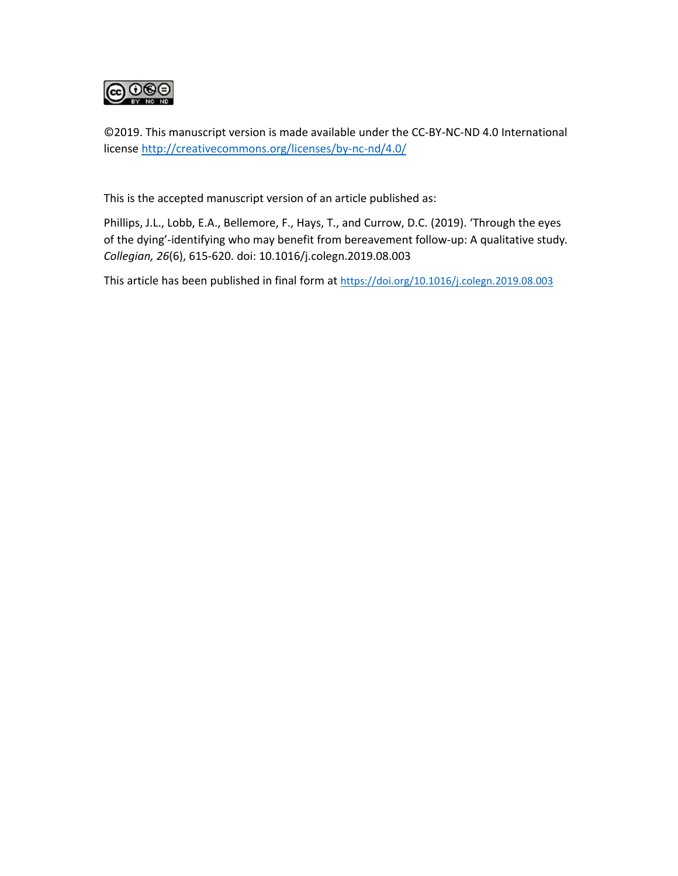

©2019. This manuscript version is made available under the CC‐BY‐NC‐ND 4.0 International license http://creativecommons.org/licenses/by‐nc‐nd/4.0/

This is the accepted manuscript version of an article published as:

Phillips, J.L., Lobb, E.A., Bellemore, F., Hays, T., and Currow, D.C. (2019). 'Through the eyes of the dying'‐identifying who may benefit from bereavement follow‐up: A qualitative study*. Collegian, 26*(6), 615‐620. doi: 10.1016/j.colegn.2019.08.003

This article has been published in final form at https://doi.org/10.1016/j.colegn.2019.08.003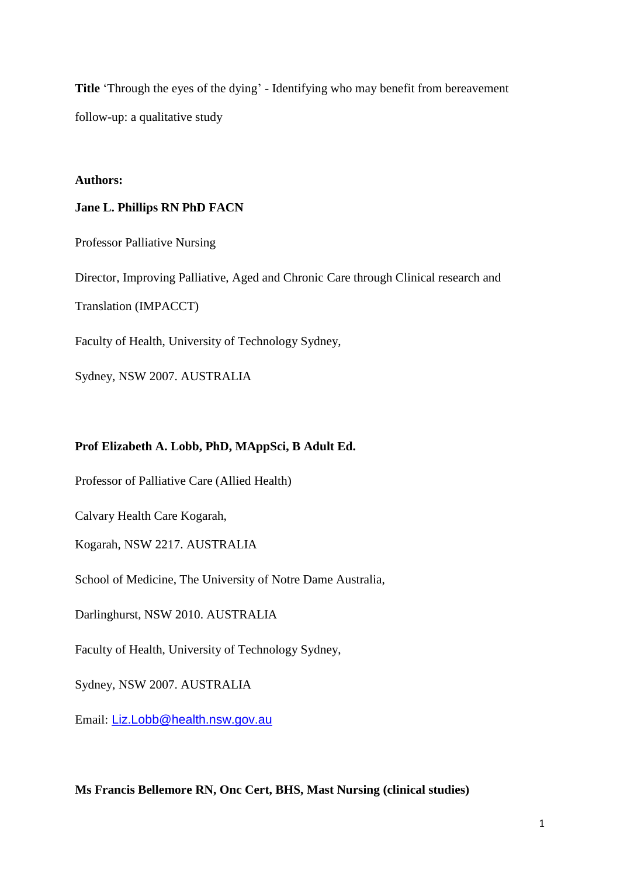**Title** 'Through the eyes of the dying' - Identifying who may benefit from bereavement follow-up: a qualitative study

#### **Authors:**

#### **Jane L. Phillips RN PhD FACN**

Professor Palliative Nursing

Director, Improving Palliative, Aged and Chronic Care through Clinical research and

Translation (IMPACCT)

Faculty of Health, University of Technology Sydney,

Sydney, NSW 2007. AUSTRALIA

#### **Prof Elizabeth A. Lobb, PhD, MAppSci, B Adult Ed.**

Professor of Palliative Care (Allied Health)

Calvary Health Care Kogarah,

Kogarah, NSW 2217. AUSTRALIA

School of Medicine, The University of Notre Dame Australia,

Darlinghurst, NSW 2010. AUSTRALIA

Faculty of Health, University of Technology Sydney,

Sydney, NSW 2007. AUSTRALIA

Email: [Liz.Lobb@health.nsw.gov.au](mailto:Liz.Lobb@health.nsw.gov.au)

**Ms Francis Bellemore RN, Onc Cert, BHS, Mast Nursing (clinical studies)**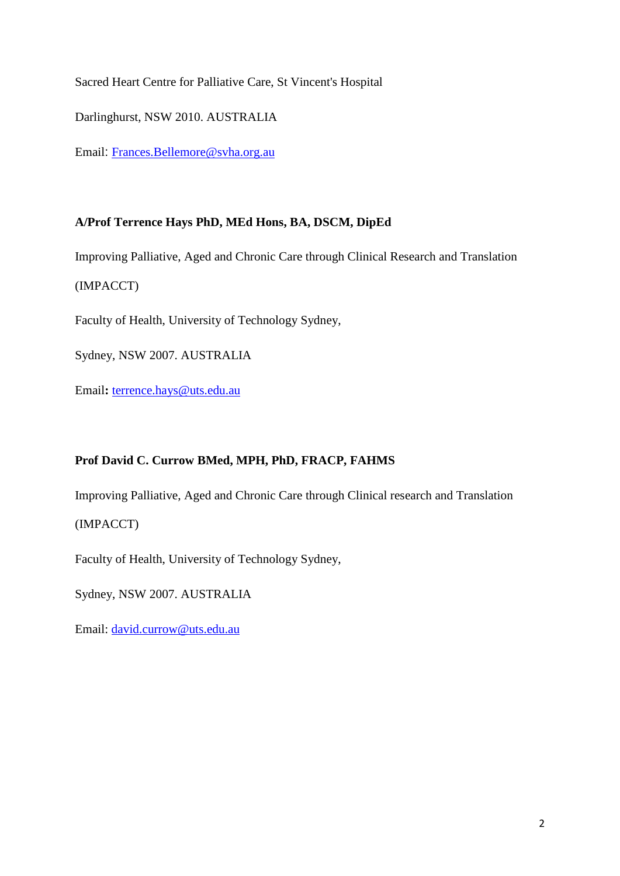Sacred Heart Centre for Palliative Care, St Vincent's Hospital

Darlinghurst, NSW 2010. AUSTRALIA

Email: [Frances.Bellemore@svha.org.au](mailto:Frances.Bellemore@svha.org.au)

## **A/Prof Terrence Hays PhD, MEd Hons, BA, DSCM, DipEd**

Improving Palliative, Aged and Chronic Care through Clinical Research and Translation (IMPACCT)

Faculty of Health, University of Technology Sydney,

Sydney, NSW 2007. AUSTRALIA

Email**:** [terrence.hays@uts.edu.au](mailto:terrence.hays@uts.edu.au)

## **Prof David C. Currow BMed, MPH, PhD, FRACP, FAHMS**

Improving Palliative, Aged and Chronic Care through Clinical research and Translation

## (IMPACCT)

Faculty of Health, University of Technology Sydney,

Sydney, NSW 2007. AUSTRALIA

Email: [david.currow@uts.edu.au](mailto:david.currow@uts.edu.au)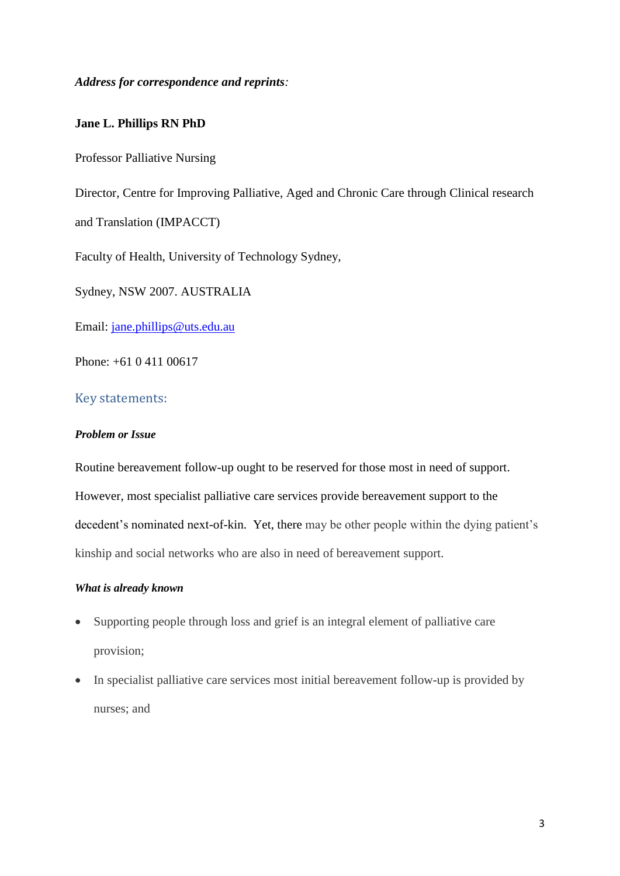*Address for correspondence and reprints:*

#### **Jane L. Phillips RN PhD**

Professor Palliative Nursing

Director, Centre for Improving Palliative, Aged and Chronic Care through Clinical research and Translation (IMPACCT)

Faculty of Health, University of Technology Sydney,

Sydney, NSW 2007. AUSTRALIA

Email: [jane.phillips@uts.edu.au](mailto:jane.phillips@uts.edu.au)

Phone: +61 0 411 00617

#### Key statements:

#### *Problem or Issue*

Routine bereavement follow-up ought to be reserved for those most in need of support. However, most specialist palliative care services provide bereavement support to the decedent's nominated next-of-kin. Yet, there may be other people within the dying patient's kinship and social networks who are also in need of bereavement support.

#### *What is already known*

- Supporting people through loss and grief is an integral element of palliative care provision;
- In specialist palliative care services most initial bereavement follow-up is provided by nurses; and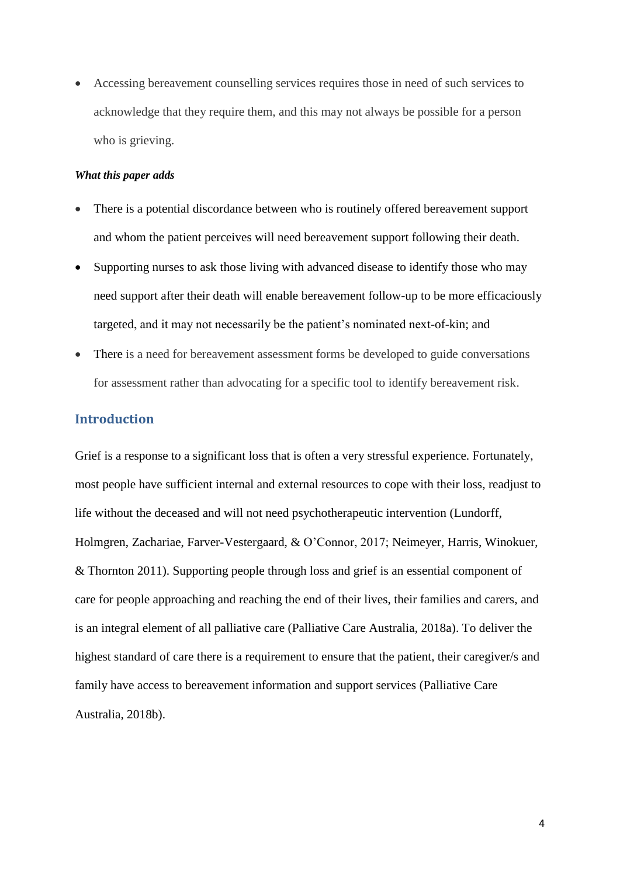Accessing bereavement counselling services requires those in need of such services to acknowledge that they require them, and this may not always be possible for a person who is grieving.

#### *What this paper adds*

- There is a potential discordance between who is routinely offered bereavement support and whom the patient perceives will need bereavement support following their death.
- Supporting nurses to ask those living with advanced disease to identify those who may need support after their death will enable bereavement follow-up to be more efficaciously targeted, and it may not necessarily be the patient's nominated next-of-kin; and
- There is a need for bereavement assessment forms be developed to guide conversations for assessment rather than advocating for a specific tool to identify bereavement risk.

## **Introduction**

Grief is a response to a significant loss that is often a very stressful experience. Fortunately, most people have sufficient internal and external resources to cope with their loss, readjust to life without the deceased and will not need psychotherapeutic intervention (Lundorff, Holmgren, Zachariae, Farver-Vestergaard, & O'Connor, 2017; Neimeyer, Harris, Winokuer, & Thornton 2011). Supporting people through loss and grief is an essential component of care for people approaching and reaching the end of their lives, their families and carers, and is an integral element of all palliative care (Palliative Care Australia, 2018a). To deliver the highest standard of care there is a requirement to ensure that the patient, their caregiver/s and family have access to bereavement information and support services (Palliative Care Australia, 2018b).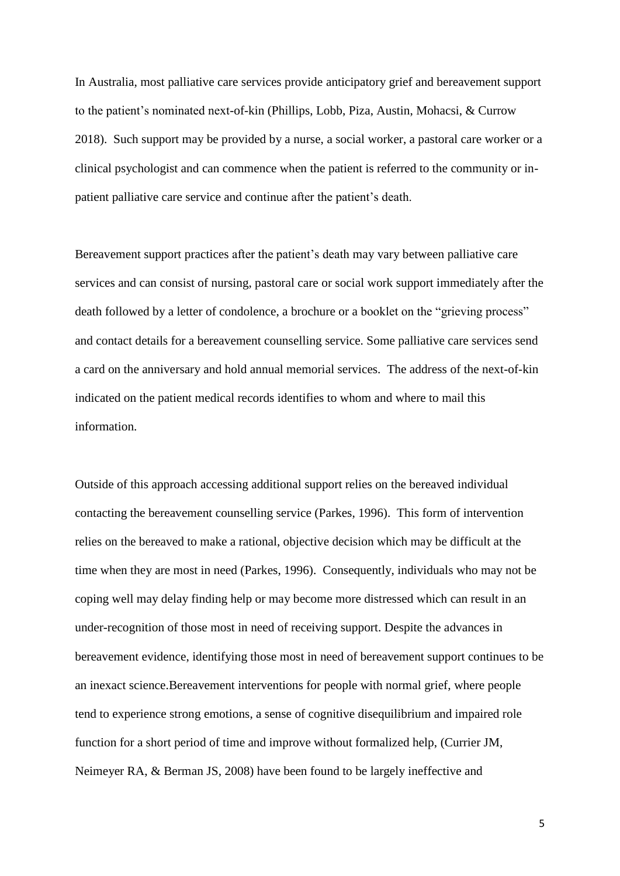In Australia, most palliative care services provide anticipatory grief and bereavement support to the patient's nominated next-of-kin (Phillips, Lobb, Piza, Austin, Mohacsi, & Currow 2018). Such support may be provided by a nurse, a social worker, a pastoral care worker or a clinical psychologist and can commence when the patient is referred to the community or inpatient palliative care service and continue after the patient's death.

Bereavement support practices after the patient's death may vary between palliative care services and can consist of nursing, pastoral care or social work support immediately after the death followed by a letter of condolence, a brochure or a booklet on the "grieving process" and contact details for a bereavement counselling service. Some palliative care services send a card on the anniversary and hold annual memorial services. The address of the next-of-kin indicated on the patient medical records identifies to whom and where to mail this information.

Outside of this approach accessing additional support relies on the bereaved individual contacting the bereavement counselling service (Parkes, 1996). This form of intervention relies on the bereaved to make a rational, objective decision which may be difficult at the time when they are most in need (Parkes, 1996). Consequently, individuals who may not be coping well may delay finding help or may become more distressed which can result in an under-recognition of those most in need of receiving support. Despite the advances in bereavement evidence, identifying those most in need of bereavement support continues to be an inexact science.Bereavement interventions for people with normal grief, where people tend to experience strong emotions, a sense of cognitive disequilibrium and impaired role function for a short period of time and improve without formalized help, (Currier JM, Neimeyer RA, & Berman JS, 2008) have been found to be largely ineffective and

5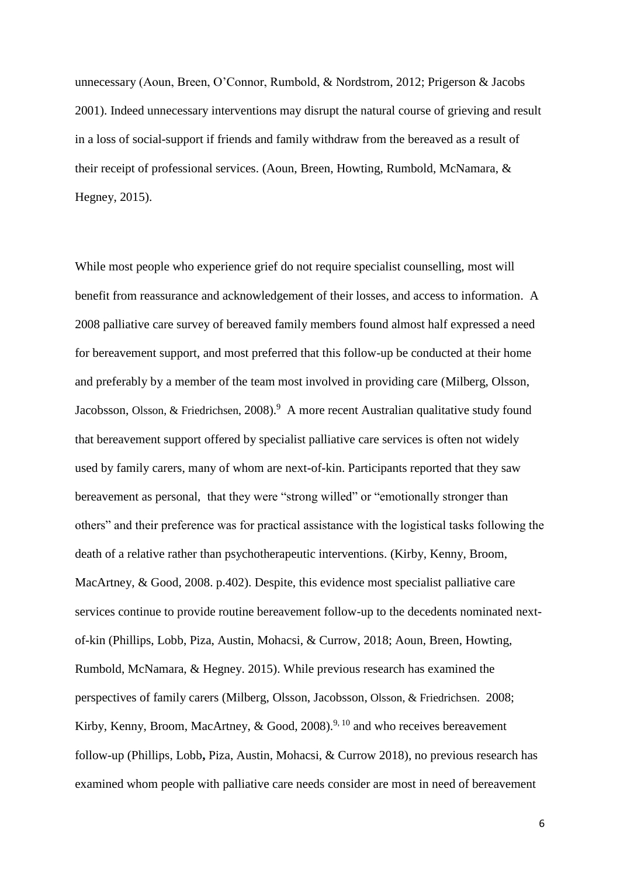unnecessary (Aoun, Breen, O'Connor, Rumbold, & Nordstrom, 2012; Prigerson & Jacobs 2001). Indeed unnecessary interventions may disrupt the natural course of grieving and result in a loss of social-support if friends and family withdraw from the bereaved as a result of their receipt of professional services. (Aoun, Breen, Howting, Rumbold, McNamara, & Hegney, 2015).

While most people who experience grief do not require specialist counselling, most will benefit from reassurance and acknowledgement of their losses, and access to information. A 2008 palliative care survey of bereaved family members found almost half expressed a need for bereavement support, and most preferred that this follow-up be conducted at their home and preferably by a member of the team most involved in providing care (Milberg, Olsson, Jacobsson, [Olsson, &](https://www.ncbi.nlm.nih.gov/pubmed/?term=Olsson%20M%5BAuthor%5D&cauthor=true&cauthor_uid=17949942) [Friedrichsen,](https://www.ncbi.nlm.nih.gov/pubmed/?term=Friedrichsen%20M%5BAuthor%5D&cauthor=true&cauthor_uid=17949942) 2008).<sup>9</sup> A more recent Australian qualitative study found that bereavement support offered by specialist palliative care services is often not widely used by family carers, many of whom are next-of-kin. Participants reported that they saw bereavement as personal, that they were "strong willed" or "emotionally stronger than others" and their preference was for practical assistance with the logistical tasks following the death of a relative rather than psychotherapeutic interventions. (Kirby, Kenny, Broom, [MacArtney, &](https://www.ncbi.nlm.nih.gov/pubmed/?term=MacArtney%20J%5BAuthor%5D&cauthor=true&cauthor_uid=28635585) [Good, 2](https://www.ncbi.nlm.nih.gov/pubmed/?term=Good%20P%5BAuthor%5D&cauthor=true&cauthor_uid=28635585)008. p.402). Despite, this evidence most specialist palliative care services continue to provide routine bereavement follow-up to the decedents nominated nextof-kin (Phillips, Lobb, Piza, Austin, Mohacsi, & Currow, 2018; Aoun, Breen, Howting, Rumbold, McNamara, & Hegney. 2015). While previous research has examined the perspectives of family carers (Milberg, Olsson, Jacobsson, [Olsson, &](https://www.ncbi.nlm.nih.gov/pubmed/?term=Olsson%20M%5BAuthor%5D&cauthor=true&cauthor_uid=17949942) [Friedrichsen.](https://www.ncbi.nlm.nih.gov/pubmed/?term=Friedrichsen%20M%5BAuthor%5D&cauthor=true&cauthor_uid=17949942) 2008; Kirby, Kenny, Broom, [MacArtney,](https://www.ncbi.nlm.nih.gov/pubmed/?term=MacArtney%20J%5BAuthor%5D&cauthor=true&cauthor_uid=28635585) & [Good, 2](https://www.ncbi.nlm.nih.gov/pubmed/?term=Good%20P%5BAuthor%5D&cauthor=true&cauthor_uid=28635585)008).<sup>9, 10</sup> and who receives bereavement follow-up (Phillips, Lobb**,** Piza, Austin, Mohacsi, & Currow 2018), no previous research has examined whom people with palliative care needs consider are most in need of bereavement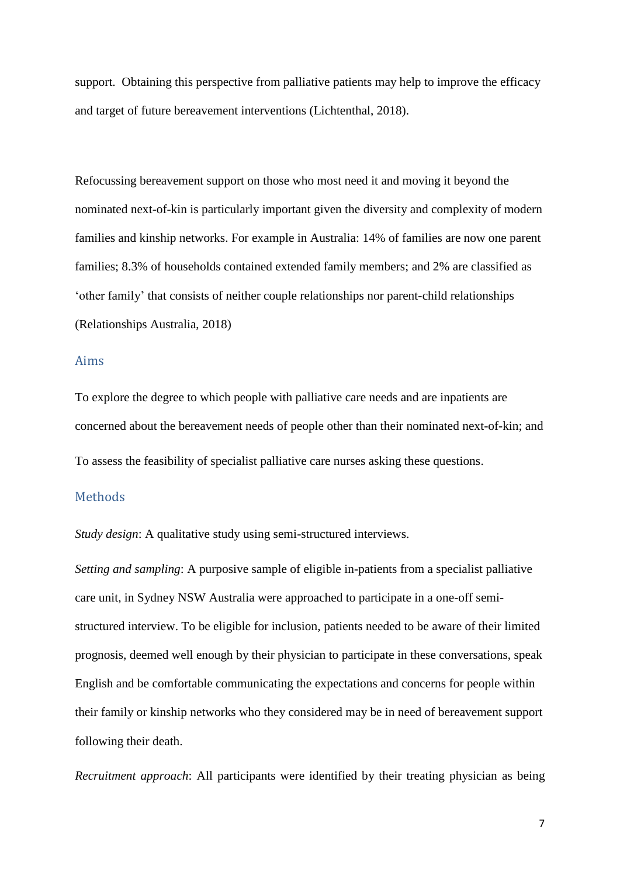support. Obtaining this perspective from palliative patients may help to improve the efficacy and target of future bereavement interventions (Lichtenthal, 2018).

Refocussing bereavement support on those who most need it and moving it beyond the nominated next-of-kin is particularly important given the diversity and complexity of modern families and kinship networks. For example in Australia: 14% of families are now one parent families; 8.3% of households contained extended family members; and 2% are classified as 'other family' that consists of neither couple relationships nor parent-child relationships (Relationships Australia, 2018)

#### Aims

To explore the degree to which people with palliative care needs and are inpatients are concerned about the bereavement needs of people other than their nominated next-of-kin; and To assess the feasibility of specialist palliative care nurses asking these questions.

#### Methods

*Study design*: A qualitative study using semi-structured interviews.

*Setting and sampling*: A purposive sample of eligible in-patients from a specialist palliative care unit, in Sydney NSW Australia were approached to participate in a one-off semistructured interview. To be eligible for inclusion, patients needed to be aware of their limited prognosis, deemed well enough by their physician to participate in these conversations, speak English and be comfortable communicating the expectations and concerns for people within their family or kinship networks who they considered may be in need of bereavement support following their death.

*Recruitment approach*: All participants were identified by their treating physician as being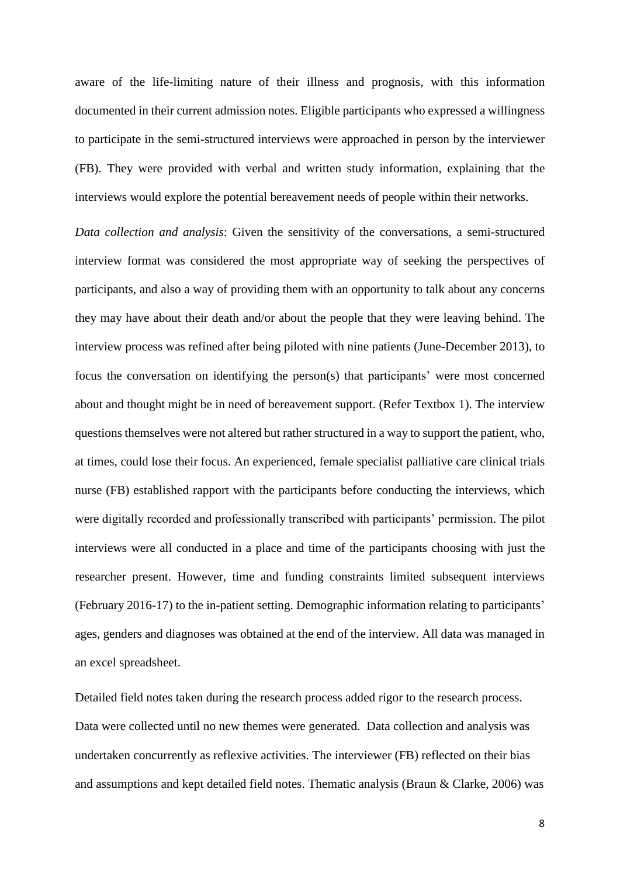aware of the life-limiting nature of their illness and prognosis, with this information documented in their current admission notes. Eligible participants who expressed a willingness to participate in the semi-structured interviews were approached in person by the interviewer (FB). They were provided with verbal and written study information, explaining that the interviews would explore the potential bereavement needs of people within their networks.

*Data collection and analysis*: Given the sensitivity of the conversations, a semi-structured interview format was considered the most appropriate way of seeking the perspectives of participants, and also a way of providing them with an opportunity to talk about any concerns they may have about their death and/or about the people that they were leaving behind. The interview process was refined after being piloted with nine patients (June-December 2013), to focus the conversation on identifying the person(s) that participants' were most concerned about and thought might be in need of bereavement support. (Refer Textbox 1). The interview questions themselves were not altered but rather structured in a way to support the patient, who, at times, could lose their focus. An experienced, female specialist palliative care clinical trials nurse (FB) established rapport with the participants before conducting the interviews, which were digitally recorded and professionally transcribed with participants' permission. The pilot interviews were all conducted in a place and time of the participants choosing with just the researcher present. However, time and funding constraints limited subsequent interviews (February 2016-17) to the in-patient setting. Demographic information relating to participants' ages, genders and diagnoses was obtained at the end of the interview. All data was managed in an excel spreadsheet.

Detailed field notes taken during the research process added rigor to the research process. Data were collected until no new themes were generated. Data collection and analysis was undertaken concurrently as reflexive activities. The interviewer (FB) reflected on their bias and assumptions and kept detailed field notes. Thematic analysis (Braun & Clarke, 2006) was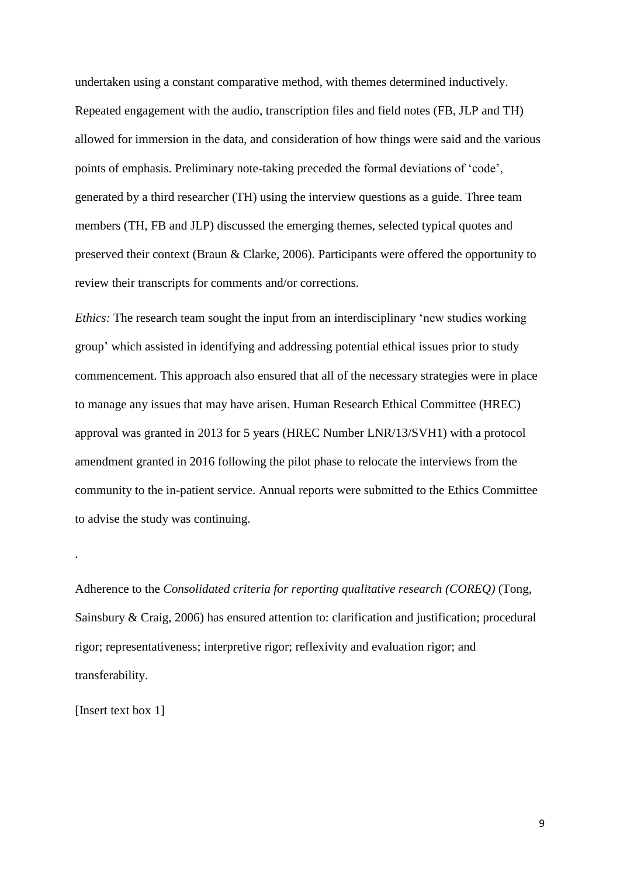undertaken using a constant comparative method, with themes determined inductively. Repeated engagement with the audio, transcription files and field notes (FB, JLP and TH) allowed for immersion in the data, and consideration of how things were said and the various points of emphasis. Preliminary note-taking preceded the formal deviations of 'code', generated by a third researcher (TH) using the interview questions as a guide. Three team members (TH, FB and JLP) discussed the emerging themes, selected typical quotes and preserved their context (Braun & Clarke, 2006). Participants were offered the opportunity to review their transcripts for comments and/or corrections.

*Ethics:* The research team sought the input from an interdisciplinary 'new studies working group' which assisted in identifying and addressing potential ethical issues prior to study commencement. This approach also ensured that all of the necessary strategies were in place to manage any issues that may have arisen. Human Research Ethical Committee (HREC) approval was granted in 2013 for 5 years (HREC Number LNR/13/SVH1) with a protocol amendment granted in 2016 following the pilot phase to relocate the interviews from the community to the in-patient service. Annual reports were submitted to the Ethics Committee to advise the study was continuing.

Adherence to the *Consolidated criteria for reporting qualitative research (COREQ)* (Tong, Sainsbury & Craig, 2006) has ensured attention to: clarification and justification; procedural rigor; representativeness; interpretive rigor; reflexivity and evaluation rigor; and transferability.

[Insert text box 1]

.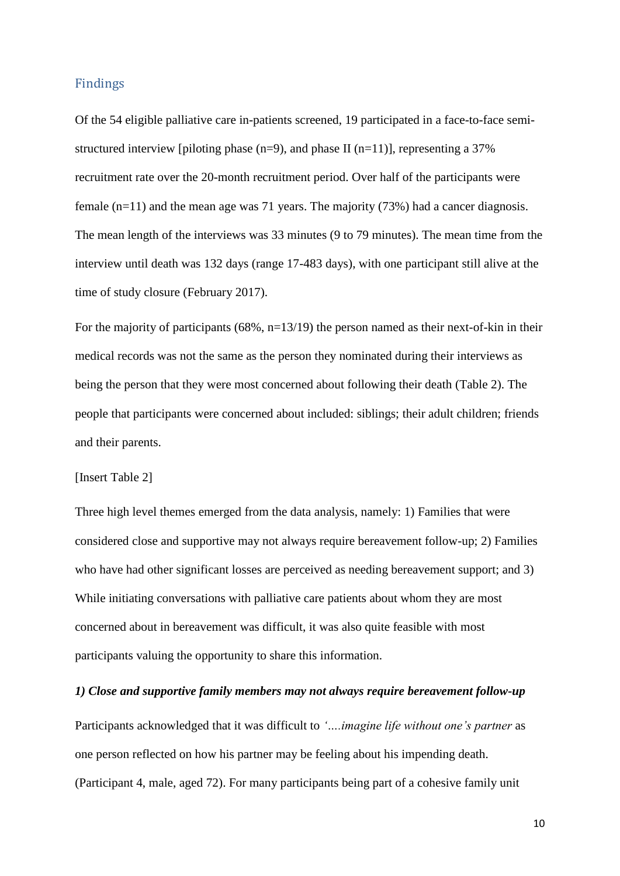#### Findings

Of the 54 eligible palliative care in-patients screened, 19 participated in a face-to-face semistructured interview [piloting phase  $(n=9)$ , and phase II  $(n=11)$ ], representing a 37% recruitment rate over the 20-month recruitment period. Over half of the participants were female  $(n=11)$  and the mean age was 71 years. The majority (73%) had a cancer diagnosis. The mean length of the interviews was 33 minutes (9 to 79 minutes). The mean time from the interview until death was 132 days (range 17-483 days), with one participant still alive at the time of study closure (February 2017).

For the majority of participants  $(68\%, n=13/19)$  the person named as their next-of-kin in their medical records was not the same as the person they nominated during their interviews as being the person that they were most concerned about following their death (Table 2). The people that participants were concerned about included: siblings; their adult children; friends and their parents.

#### [Insert Table 2]

Three high level themes emerged from the data analysis, namely: 1) Families that were considered close and supportive may not always require bereavement follow-up; 2) Families who have had other significant losses are perceived as needing bereavement support; and 3) While initiating conversations with palliative care patients about whom they are most concerned about in bereavement was difficult, it was also quite feasible with most participants valuing the opportunity to share this information.

#### *1) Close and supportive family members may not always require bereavement follow-up*

Participants acknowledged that it was difficult to *'….imagine life without one's partner* as one person reflected on how his partner may be feeling about his impending death. (Participant 4, male, aged 72). For many participants being part of a cohesive family unit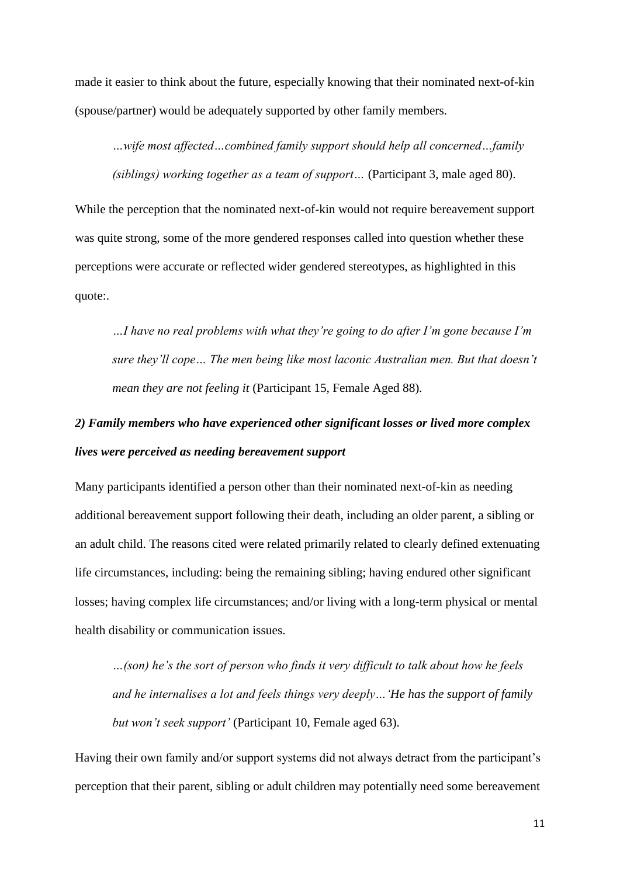made it easier to think about the future, especially knowing that their nominated next-of-kin (spouse/partner) would be adequately supported by other family members.

*…wife most affected…combined family support should help all concerned…family (siblings) working together as a team of support…* (Participant 3, male aged 80).

While the perception that the nominated next-of-kin would not require bereavement support was quite strong, some of the more gendered responses called into question whether these perceptions were accurate or reflected wider gendered stereotypes, as highlighted in this quote:.

*…I have no real problems with what they're going to do after I'm gone because I'm sure they'll cope… The men being like most laconic Australian men. But that doesn't mean they are not feeling it* (Participant 15, Female Aged 88)*.*

# *2) Family members who have experienced other significant losses or lived more complex lives were perceived as needing bereavement support*

Many participants identified a person other than their nominated next-of-kin as needing additional bereavement support following their death, including an older parent, a sibling or an adult child. The reasons cited were related primarily related to clearly defined extenuating life circumstances, including: being the remaining sibling; having endured other significant losses; having complex life circumstances; and/or living with a long-term physical or mental health disability or communication issues.

*…(son) he's the sort of person who finds it very difficult to talk about how he feels and he internalises a lot and feels things very deeply…'He has the support of family but won't seek support'* (Participant 10, Female aged 63).

Having their own family and/or support systems did not always detract from the participant's perception that their parent, sibling or adult children may potentially need some bereavement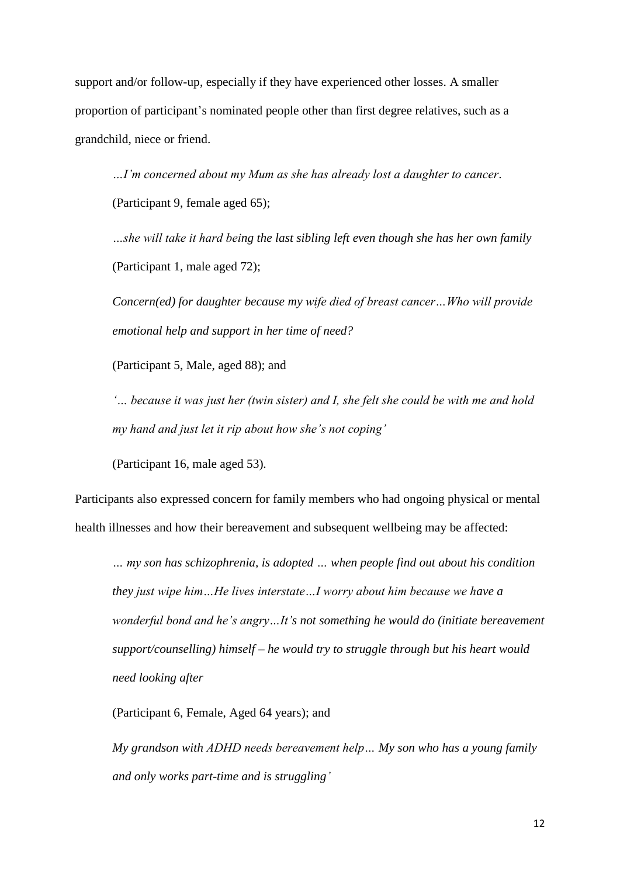support and/or follow-up, especially if they have experienced other losses. A smaller proportion of participant's nominated people other than first degree relatives, such as a grandchild, niece or friend.

*…I'm concerned about my Mum as she has already lost a daughter to cancer*. (Participant 9, female aged 65);

*…she will take it hard being the last sibling left even though she has her own family* (Participant 1, male aged 72);

*Concern(ed) for daughter because my wife died of breast cancer…Who will provide emotional help and support in her time of need?* 

(Participant 5, Male, aged 88); and

*'… because it was just her (twin sister) and I, she felt she could be with me and hold my hand and just let it rip about how she's not coping'* 

(Participant 16, male aged 53)*.*

Participants also expressed concern for family members who had ongoing physical or mental health illnesses and how their bereavement and subsequent wellbeing may be affected:

*… my son has schizophrenia, is adopted … when people find out about his condition they just wipe him…He lives interstate…I worry about him because we have a wonderful bond and he's angry…It's not something he would do (initiate bereavement support/counselling) himself – he would try to struggle through but his heart would need looking after*

(Participant 6, Female, Aged 64 years); and

*My grandson with ADHD needs bereavement help… My son who has a young family and only works part-time and is struggling'*

12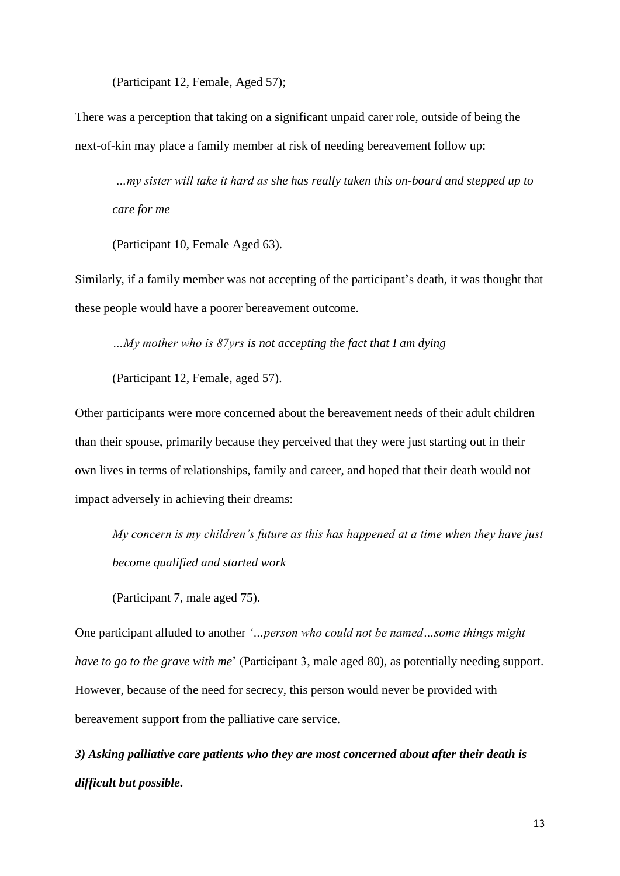(Participant 12, Female, Aged 57);

There was a perception that taking on a significant unpaid carer role, outside of being the next-of-kin may place a family member at risk of needing bereavement follow up:

*…my sister will take it hard as she has really taken this on-board and stepped up to care for me*

(Participant 10, Female Aged 63).

Similarly, if a family member was not accepting of the participant's death, it was thought that these people would have a poorer bereavement outcome.

*…My mother who is 87yrs is not accepting the fact that I am dying*

(Participant 12, Female, aged 57).

Other participants were more concerned about the bereavement needs of their adult children than their spouse, primarily because they perceived that they were just starting out in their own lives in terms of relationships, family and career, and hoped that their death would not impact adversely in achieving their dreams:

*My concern is my children's future as this has happened at a time when they have just become qualified and started work*

(Participant 7, male aged 75).

One participant alluded to another *'…person who could not be named…some things might have to go to the grave with me*' (Participant 3, male aged 80), as potentially needing support. However, because of the need for secrecy, this person would never be provided with bereavement support from the palliative care service.

*3) Asking palliative care patients who they are most concerned about after their death is difficult but possible***.**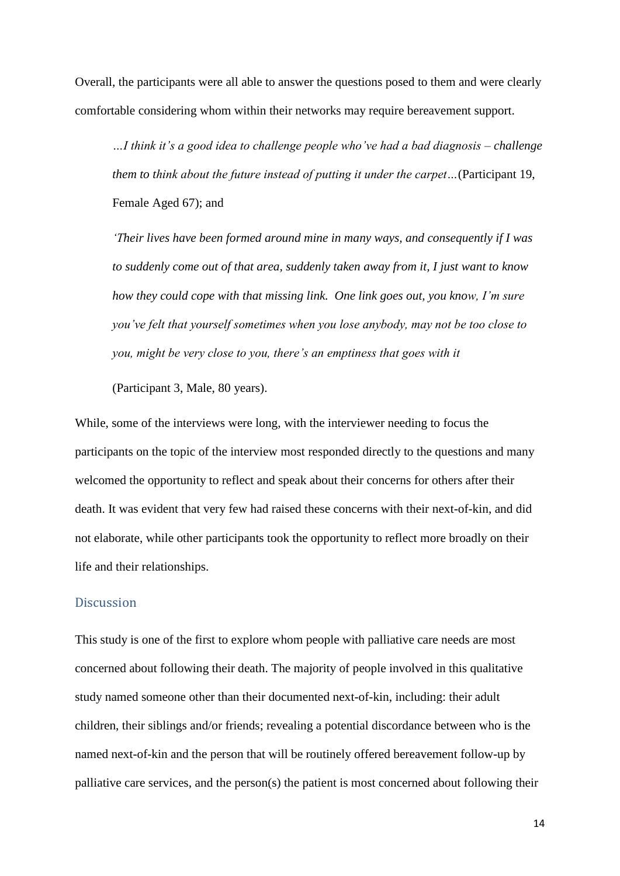Overall, the participants were all able to answer the questions posed to them and were clearly comfortable considering whom within their networks may require bereavement support.

*…I think it's a good idea to challenge people who've had a bad diagnosis – challenge them to think about the future instead of putting it under the carpet…*(Participant 19, Female Aged 67); and

*'Their lives have been formed around mine in many ways, and consequently if I was to suddenly come out of that area, suddenly taken away from it, I just want to know how they could cope with that missing link. One link goes out, you know, I'm sure you've felt that yourself sometimes when you lose anybody, may not be too close to you, might be very close to you, there's an emptiness that goes with it*

(Participant 3, Male, 80 years).

While, some of the interviews were long, with the interviewer needing to focus the participants on the topic of the interview most responded directly to the questions and many welcomed the opportunity to reflect and speak about their concerns for others after their death. It was evident that very few had raised these concerns with their next-of-kin, and did not elaborate, while other participants took the opportunity to reflect more broadly on their life and their relationships.

#### **Discussion**

This study is one of the first to explore whom people with palliative care needs are most concerned about following their death. The majority of people involved in this qualitative study named someone other than their documented next-of-kin, including: their adult children, their siblings and/or friends; revealing a potential discordance between who is the named next-of-kin and the person that will be routinely offered bereavement follow-up by palliative care services, and the person(s) the patient is most concerned about following their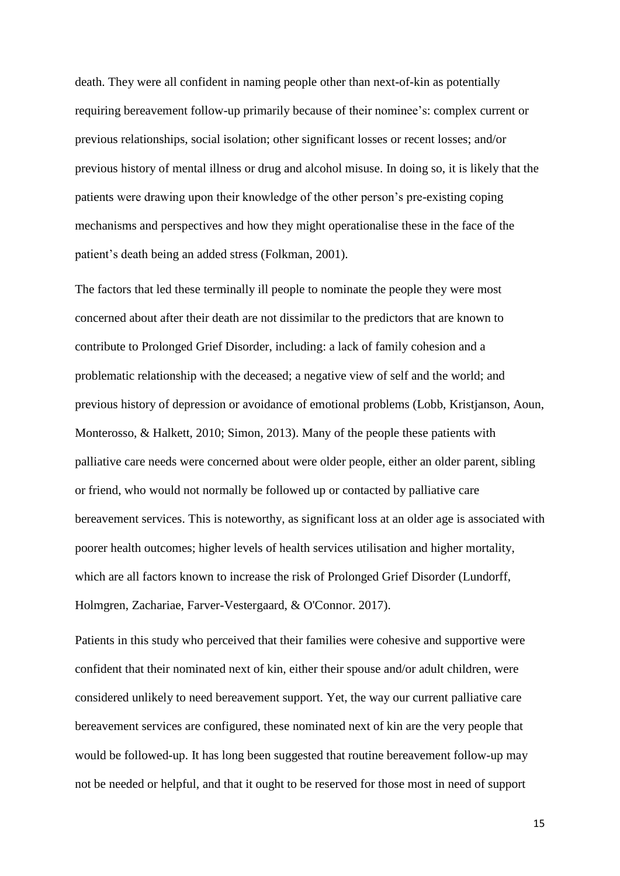death. They were all confident in naming people other than next-of-kin as potentially requiring bereavement follow-up primarily because of their nominee's: complex current or previous relationships, social isolation; other significant losses or recent losses; and/or previous history of mental illness or drug and alcohol misuse. In doing so, it is likely that the patients were drawing upon their knowledge of the other person's pre-existing coping mechanisms and perspectives and how they might operationalise these in the face of the patient's death being an added stress (Folkman, 2001).

The factors that led these terminally ill people to nominate the people they were most concerned about after their death are not dissimilar to the predictors that are known to contribute to Prolonged Grief Disorder, including: a lack of family cohesion and a problematic relationship with the deceased; a negative view of self and the world; and previous history of depression or avoidance of emotional problems (Lobb, Kristjanson, Aoun, Monterosso, & Halkett, 2010; Simon, 2013). Many of the people these patients with palliative care needs were concerned about were older people, either an older parent, sibling or friend, who would not normally be followed up or contacted by palliative care bereavement services. This is noteworthy, as significant loss at an older age is associated with poorer health outcomes; higher levels of health services utilisation and higher mortality, which are all factors known to increase the risk of Prolonged Grief Disorder (Lundorff, Holmgren, Zachariae, Farver-Vestergaard, & O'Connor. 2017).

Patients in this study who perceived that their families were cohesive and supportive were confident that their nominated next of kin, either their spouse and/or adult children, were considered unlikely to need bereavement support. Yet, the way our current palliative care bereavement services are configured, these nominated next of kin are the very people that would be followed-up. It has long been suggested that routine bereavement follow-up may not be needed or helpful, and that it ought to be reserved for those most in need of support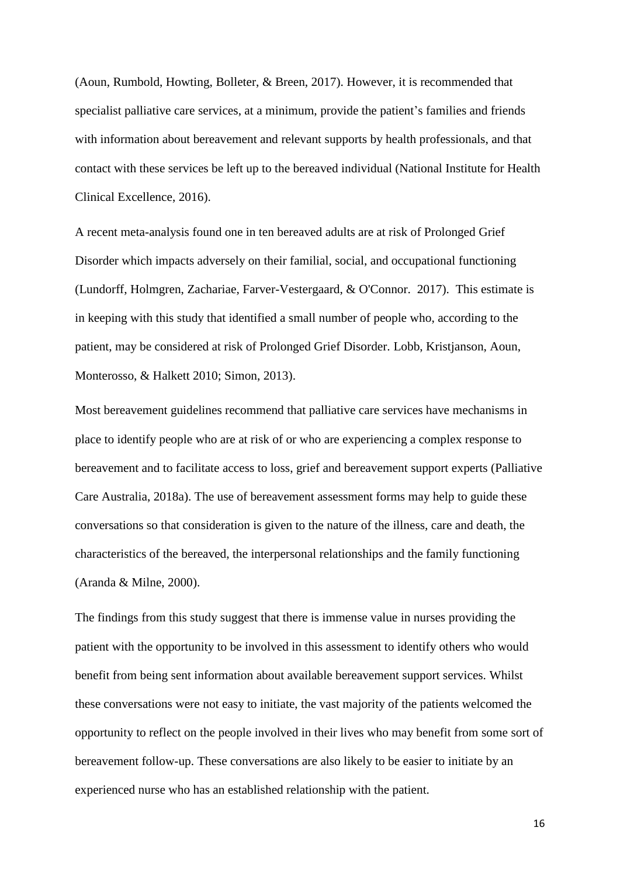(Aoun, Rumbold, Howting, Bolleter, & Breen, 2017). However, it is recommended that specialist palliative care services, at a minimum, provide the patient's families and friends with information about bereavement and relevant supports by health professionals, and that contact with these services be left up to the bereaved individual (National Institute for Health Clinical Excellence, 2016).

A recent meta-analysis found one in ten bereaved adults are at risk of Prolonged Grief Disorder which impacts adversely on their familial, social, and occupational functioning (Lundorff, Holmgren, Zachariae, Farver-Vestergaard, & O'Connor. 2017). This estimate is in keeping with this study that identified a small number of people who, according to the patient, may be considered at risk of Prolonged Grief Disorder. Lobb, Kristjanson, Aoun, Monterosso, & Halkett 2010; Simon, 2013).

Most bereavement guidelines recommend that palliative care services have mechanisms in place to identify people who are at risk of or who are experiencing a complex response to bereavement and to facilitate access to loss, grief and bereavement support experts (Palliative Care Australia, 2018a). The use of bereavement assessment forms may help to guide these conversations so that consideration is given to the nature of the illness, care and death, the characteristics of the bereaved, the interpersonal relationships and the family functioning (Aranda & Milne, 2000).

The findings from this study suggest that there is immense value in nurses providing the patient with the opportunity to be involved in this assessment to identify others who would benefit from being sent information about available bereavement support services. Whilst these conversations were not easy to initiate, the vast majority of the patients welcomed the opportunity to reflect on the people involved in their lives who may benefit from some sort of bereavement follow-up. These conversations are also likely to be easier to initiate by an experienced nurse who has an established relationship with the patient.

16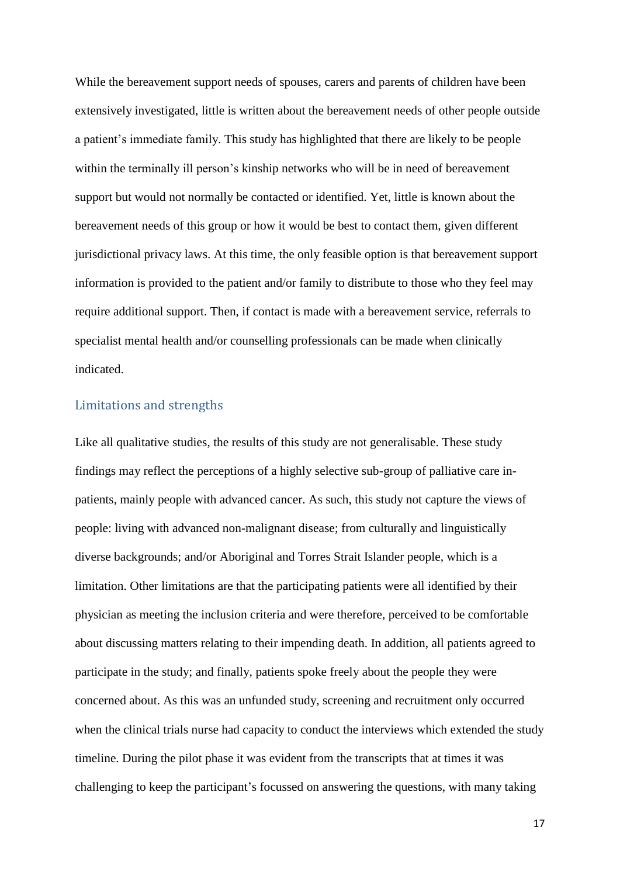While the bereavement support needs of spouses, carers and parents of children have been extensively investigated, little is written about the bereavement needs of other people outside a patient's immediate family. This study has highlighted that there are likely to be people within the terminally ill person's kinship networks who will be in need of bereavement support but would not normally be contacted or identified. Yet, little is known about the bereavement needs of this group or how it would be best to contact them, given different jurisdictional privacy laws. At this time, the only feasible option is that bereavement support information is provided to the patient and/or family to distribute to those who they feel may require additional support. Then, if contact is made with a bereavement service, referrals to specialist mental health and/or counselling professionals can be made when clinically indicated.

#### Limitations and strengths

Like all qualitative studies, the results of this study are not generalisable. These study findings may reflect the perceptions of a highly selective sub-group of palliative care inpatients, mainly people with advanced cancer. As such, this study not capture the views of people: living with advanced non-malignant disease; from culturally and linguistically diverse backgrounds; and/or Aboriginal and Torres Strait Islander people, which is a limitation. Other limitations are that the participating patients were all identified by their physician as meeting the inclusion criteria and were therefore, perceived to be comfortable about discussing matters relating to their impending death. In addition, all patients agreed to participate in the study; and finally, patients spoke freely about the people they were concerned about. As this was an unfunded study, screening and recruitment only occurred when the clinical trials nurse had capacity to conduct the interviews which extended the study timeline. During the pilot phase it was evident from the transcripts that at times it was challenging to keep the participant's focussed on answering the questions, with many taking

17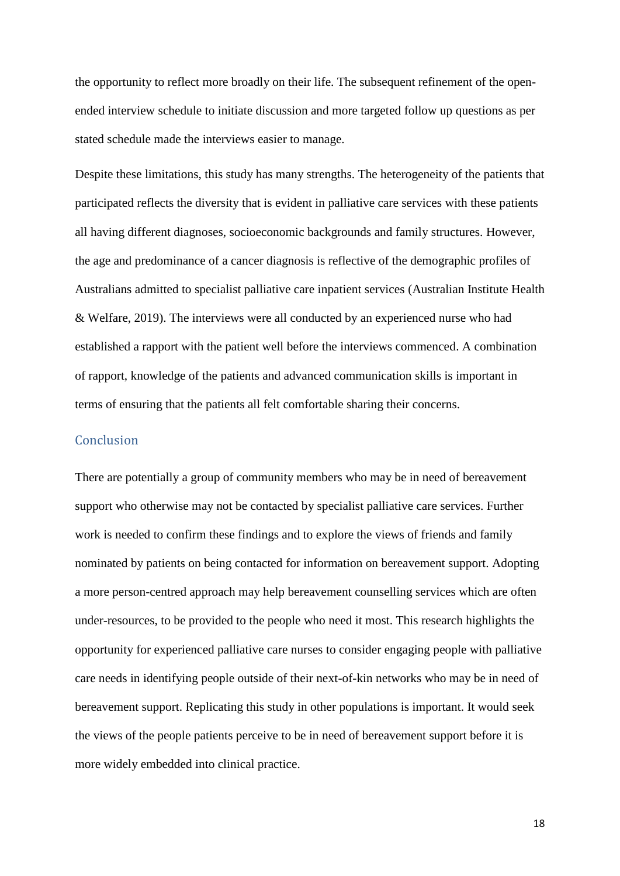the opportunity to reflect more broadly on their life. The subsequent refinement of the openended interview schedule to initiate discussion and more targeted follow up questions as per stated schedule made the interviews easier to manage.

Despite these limitations, this study has many strengths. The heterogeneity of the patients that participated reflects the diversity that is evident in palliative care services with these patients all having different diagnoses, socioeconomic backgrounds and family structures. However, the age and predominance of a cancer diagnosis is reflective of the demographic profiles of Australians admitted to specialist palliative care inpatient services (Australian Institute Health & Welfare, 2019). The interviews were all conducted by an experienced nurse who had established a rapport with the patient well before the interviews commenced. A combination of rapport, knowledge of the patients and advanced communication skills is important in terms of ensuring that the patients all felt comfortable sharing their concerns.

#### **Conclusion**

There are potentially a group of community members who may be in need of bereavement support who otherwise may not be contacted by specialist palliative care services. Further work is needed to confirm these findings and to explore the views of friends and family nominated by patients on being contacted for information on bereavement support. Adopting a more person-centred approach may help bereavement counselling services which are often under-resources, to be provided to the people who need it most. This research highlights the opportunity for experienced palliative care nurses to consider engaging people with palliative care needs in identifying people outside of their next-of-kin networks who may be in need of bereavement support. Replicating this study in other populations is important. It would seek the views of the people patients perceive to be in need of bereavement support before it is more widely embedded into clinical practice.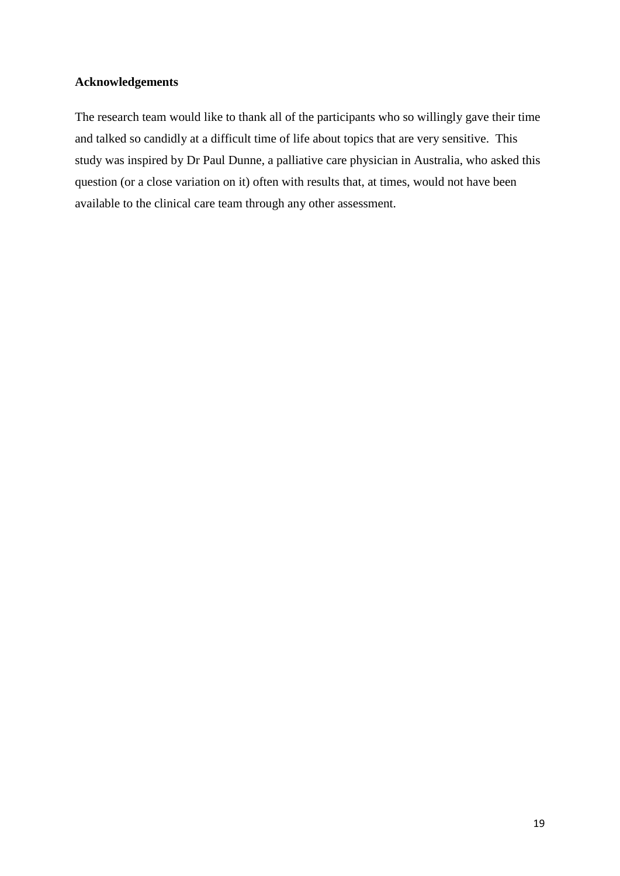#### **Acknowledgements**

The research team would like to thank all of the participants who so willingly gave their time and talked so candidly at a difficult time of life about topics that are very sensitive. This study was inspired by Dr Paul Dunne, a palliative care physician in Australia, who asked this question (or a close variation on it) often with results that, at times, would not have been available to the clinical care team through any other assessment.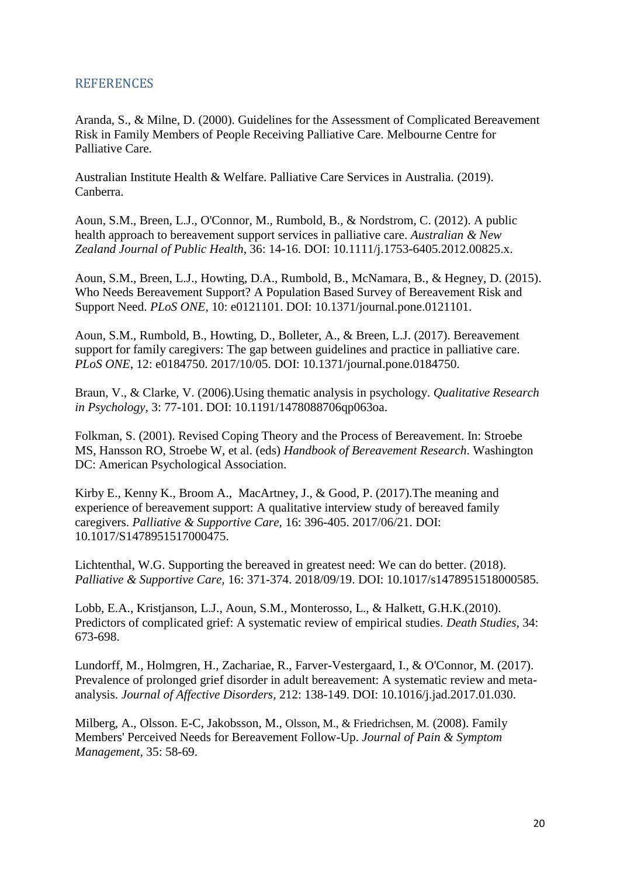### **REFERENCES**

Aranda, S., & Milne, D. (2000). Guidelines for the Assessment of Complicated Bereavement Risk in Family Members of People Receiving Palliative Care. Melbourne Centre for Palliative Care.

Australian Institute Health & Welfare. Palliative Care Services in Australia. (2019). Canberra.

Aoun, S.M., Breen, L.J., O'Connor, M., Rumbold, B., & Nordstrom, C. (2012). A public health approach to bereavement support services in palliative care. *Australian & New Zealand Journal of Public Health*, 36: 14-16. DOI: 10.1111/j.1753-6405.2012.00825.x.

Aoun, S.M., Breen, L.J., Howting, D.A., Rumbold, B., McNamara, B., & Hegney, D. (2015). Who Needs Bereavement Support? A Population Based Survey of Bereavement Risk and Support Need. *PLoS ONE,* 10: e0121101. DOI: 10.1371/journal.pone.0121101.

Aoun, S.M., Rumbold, B., Howting, D., Bolleter, A., & Breen, L.J. (2017). Bereavement support for family caregivers: The gap between guidelines and practice in palliative care. *PLoS ONE*, 12: e0184750. 2017/10/05. DOI: 10.1371/journal.pone.0184750.

Braun, V., & Clarke, V. (2006).Using thematic analysis in psychology. *Qualitative Research in Psychology*, 3: 77-101. DOI: 10.1191/1478088706qp063oa.

Folkman, S. (2001). Revised Coping Theory and the Process of Bereavement. In: Stroebe MS, Hansson RO, Stroebe W, et al. (eds) *Handbook of Bereavement Research*. Washington DC: American Psychological Association.

Kirby E., Kenny K., Broom A., [MacArtney,](https://www.ncbi.nlm.nih.gov/pubmed/?term=MacArtney%20J%5BAuthor%5D&cauthor=true&cauthor_uid=28635585) J., & [Good,](https://www.ncbi.nlm.nih.gov/pubmed/?term=Good%20P%5BAuthor%5D&cauthor=true&cauthor_uid=28635585) P. (2017).The meaning and experience of bereavement support: A qualitative interview study of bereaved family caregivers. *Palliative & Supportive Care,* 16: 396-405. 2017/06/21. DOI: 10.1017/S1478951517000475.

Lichtenthal, W.G. Supporting the bereaved in greatest need: We can do better. (2018). *Palliative & Supportive Care,* 16: 371-374. 2018/09/19. DOI: 10.1017/s1478951518000585.

Lobb, E.A., Kristjanson, L.J., Aoun, S.M., Monterosso, L., & Halkett, G.H.K.(2010). Predictors of complicated grief: A systematic review of empirical studies. *Death Studies,* 34: 673-698.

Lundorff, M., Holmgren, H., Zachariae, R., Farver-Vestergaard, I., & O'Connor, M. (2017). Prevalence of prolonged grief disorder in adult bereavement: A systematic review and metaanalysis. *Journal of Affective Disorders,* 212: 138-149. DOI: 10.1016/j.jad.2017.01.030.

Milberg, A., Olsson. E-C, Jakobsson, M., [Olsson,](https://www.ncbi.nlm.nih.gov/pubmed/?term=Olsson%20M%5BAuthor%5D&cauthor=true&cauthor_uid=17949942) M., & [Friedrichsen,](https://www.ncbi.nlm.nih.gov/pubmed/?term=Friedrichsen%20M%5BAuthor%5D&cauthor=true&cauthor_uid=17949942) M. (2008). Family Members' Perceived Needs for Bereavement Follow-Up. *Journal of Pain & Symptom Management,* 35: 58-69.